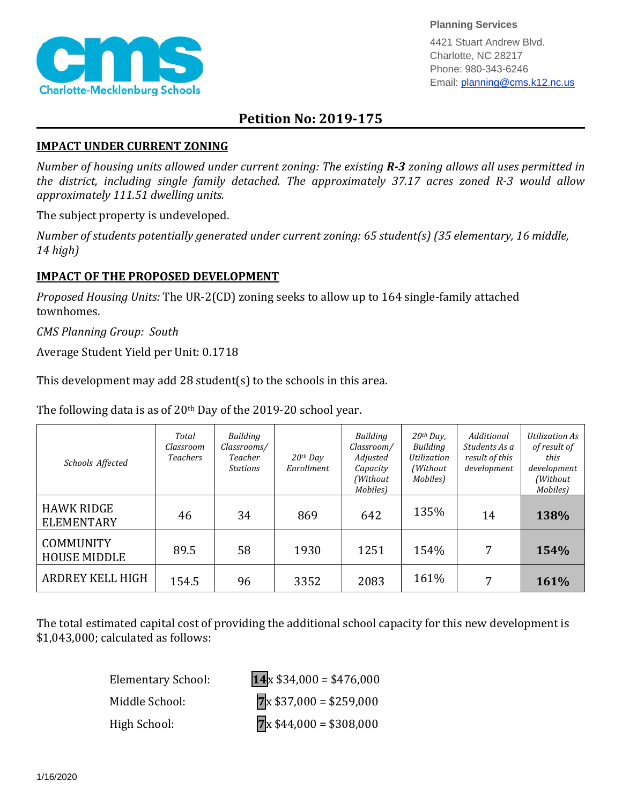

**Planning Services**

4421 Stuart Andrew Blvd. Charlotte, NC 28217 Phone: 980-343-6246 Email: planning@cms.k12.nc.us

## **Petition No: 2019-175**

## **IMPACT UNDER CURRENT ZONING**

*Number of housing units allowed under current zoning: The existing R-3 zoning allows all uses permitted in the district, including single family detached. The approximately 37.17 acres zoned R-3 would allow approximately 111.51 dwelling units.*

The subject property is undeveloped.

*Number of students potentially generated under current zoning: 65 student(s) (35 elementary, 16 middle, 14 high)*

## **IMPACT OF THE PROPOSED DEVELOPMENT**

*Proposed Housing Units:* The UR-2(CD) zoning seeks to allow up to 164 single-family attached townhomes.

*CMS Planning Group: South*

Average Student Yield per Unit: 0.1718

This development may add 28 student(s) to the schools in this area.

The following data is as of 20<sup>th</sup> Day of the 2019-20 school year.

| Schools Affected                        | Total<br>Classroom<br><b>Teachers</b> | Building<br>Classrooms/<br>Teacher<br><b>Stations</b> | $20th$ Day<br>Enrollment | Building<br>Classroom/<br>Adjusted<br>Capacity<br>(Without<br>Mobiles) | $20$ <sup>th</sup> Day,<br><b>Building</b><br>Utilization<br>(Without)<br>Mobiles) | Additional<br>Students As a<br>result of this<br>development | Utilization As<br>of result of<br>this<br>development<br>(Without<br>Mobiles) |
|-----------------------------------------|---------------------------------------|-------------------------------------------------------|--------------------------|------------------------------------------------------------------------|------------------------------------------------------------------------------------|--------------------------------------------------------------|-------------------------------------------------------------------------------|
| <b>HAWK RIDGE</b><br><b>ELEMENTARY</b>  | 46                                    | 34                                                    | 869                      | 642                                                                    | 135%                                                                               | 14                                                           | 138%                                                                          |
| <b>COMMUNITY</b><br><b>HOUSE MIDDLE</b> | 89.5                                  | 58                                                    | 1930                     | 1251                                                                   | 154%                                                                               | 7                                                            | 154%                                                                          |
| ARDREY KELL HIGH                        | 154.5                                 | 96                                                    | 3352                     | 2083                                                                   | 161%                                                                               | 7                                                            | 161%                                                                          |

The total estimated capital cost of providing the additional school capacity for this new development is \$1,043,000; calculated as follows:

| <b>Elementary School:</b> | $14 \times $34,000 = $476,000$ |
|---------------------------|--------------------------------|
| Middle School:            | $7x $37,000 = $259,000$        |
| High School:              | $7x $44,000 = $308,000$        |